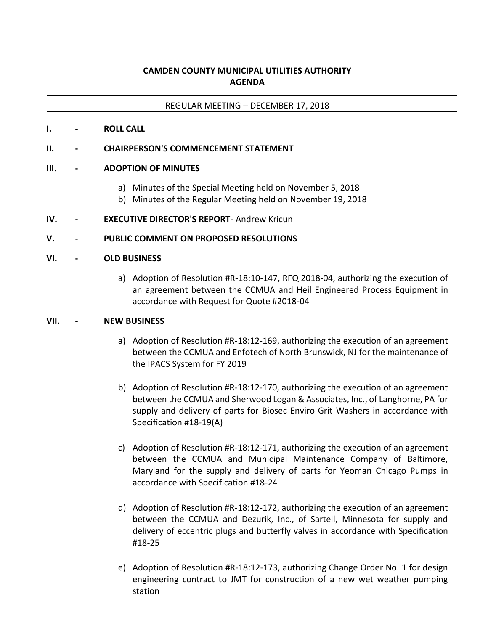# **CAMDEN COUNTY MUNICIPAL UTILITIES AUTHORITY AGENDA**

#### REGULAR MEETING – DECEMBER 17, 2018

#### **I. - ROLL CALL**

### **II. - CHAIRPERSON'S COMMENCEMENT STATEMENT**

### **III. - ADOPTION OF MINUTES**

- a) Minutes of the Special Meeting held on November 5, 2018
- b) Minutes of the Regular Meeting held on November 19, 2018

### **IV. - EXECUTIVE DIRECTOR'S REPORT**- Andrew Kricun

### **V. - PUBLIC COMMENT ON PROPOSED RESOLUTIONS**

#### **VI. - OLD BUSINESS**

a) Adoption of Resolution #R-18:10-147, RFQ 2018-04, authorizing the execution of an agreement between the CCMUA and Heil Engineered Process Equipment in accordance with Request for Quote #2018-04

#### **VII. - NEW BUSINESS**

- a) Adoption of Resolution #R-18:12-169, authorizing the execution of an agreement between the CCMUA and Enfotech of North Brunswick, NJ for the maintenance of the IPACS System for FY 2019
- b) Adoption of Resolution #R-18:12-170, authorizing the execution of an agreement between the CCMUA and Sherwood Logan & Associates, Inc., of Langhorne, PA for supply and delivery of parts for Biosec Enviro Grit Washers in accordance with Specification #18-19(A)
- c) Adoption of Resolution #R-18:12-171, authorizing the execution of an agreement between the CCMUA and Municipal Maintenance Company of Baltimore, Maryland for the supply and delivery of parts for Yeoman Chicago Pumps in accordance with Specification #18-24
- d) Adoption of Resolution #R-18:12-172, authorizing the execution of an agreement between the CCMUA and Dezurik, Inc., of Sartell, Minnesota for supply and delivery of eccentric plugs and butterfly valves in accordance with Specification #18-25
- e) Adoption of Resolution #R-18:12-173, authorizing Change Order No. 1 for design engineering contract to JMT for construction of a new wet weather pumping station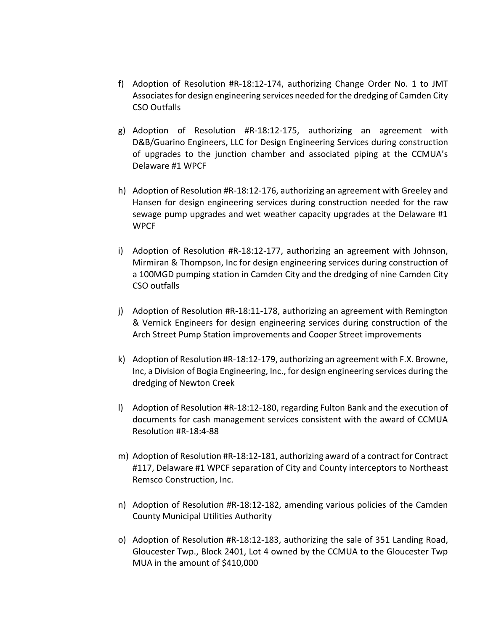- f) Adoption of Resolution #R-18:12-174, authorizing Change Order No. 1 to JMT Associates for design engineering services needed for the dredging of Camden City CSO Outfalls
- g) Adoption of Resolution #R-18:12-175, authorizing an agreement with D&B/Guarino Engineers, LLC for Design Engineering Services during construction of upgrades to the junction chamber and associated piping at the CCMUA's Delaware #1 WPCF
- h) Adoption of Resolution #R-18:12-176, authorizing an agreement with Greeley and Hansen for design engineering services during construction needed for the raw sewage pump upgrades and wet weather capacity upgrades at the Delaware #1 WPCF
- i) Adoption of Resolution #R-18:12-177, authorizing an agreement with Johnson, Mirmiran & Thompson, Inc for design engineering services during construction of a 100MGD pumping station in Camden City and the dredging of nine Camden City CSO outfalls
- j) Adoption of Resolution #R-18:11-178, authorizing an agreement with Remington & Vernick Engineers for design engineering services during construction of the Arch Street Pump Station improvements and Cooper Street improvements
- k) Adoption of Resolution #R-18:12-179, authorizing an agreement with F.X. Browne, Inc, a Division of Bogia Engineering, Inc., for design engineering services during the dredging of Newton Creek
- l) Adoption of Resolution #R-18:12-180, regarding Fulton Bank and the execution of documents for cash management services consistent with the award of CCMUA Resolution #R-18:4-88
- m) Adoption of Resolution #R-18:12-181, authorizing award of a contract for Contract #117, Delaware #1 WPCF separation of City and County interceptors to Northeast Remsco Construction, Inc.
- n) Adoption of Resolution #R-18:12-182, amending various policies of the Camden County Municipal Utilities Authority
- o) Adoption of Resolution #R-18:12-183, authorizing the sale of 351 Landing Road, Gloucester Twp., Block 2401, Lot 4 owned by the CCMUA to the Gloucester Twp MUA in the amount of \$410,000